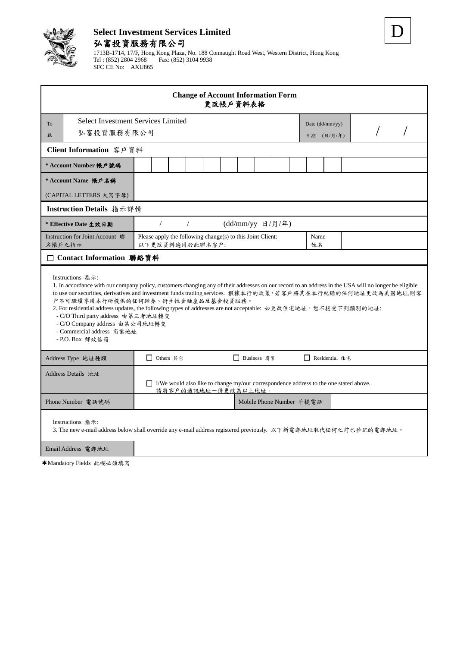

# **Select Investment Services Limited** 弘富投資服務有限公司

1713B-1714, 17/F, Hong Kong Plaza, No. 188 Connaught Road West, Western District, Hong Kong Tel : (852) 2804 2968 Fax: (852) 3104 9938 SFC CE No: AXU865

D

| <b>Change of Account Information Form</b><br>更改帳戶資料表格                                                                                                                                                                                                                                                                                                                                                                                                                                                                                                                   |                                                                               |  |  |  |  |  |  |                               |                |  |  |  |  |  |  |  |
|-------------------------------------------------------------------------------------------------------------------------------------------------------------------------------------------------------------------------------------------------------------------------------------------------------------------------------------------------------------------------------------------------------------------------------------------------------------------------------------------------------------------------------------------------------------------------|-------------------------------------------------------------------------------|--|--|--|--|--|--|-------------------------------|----------------|--|--|--|--|--|--|--|
| <b>To</b><br>弘富投資服務有限公司<br>致                                                                                                                                                                                                                                                                                                                                                                                                                                                                                                                                            | <b>Select Investment Services Limited</b>                                     |  |  |  |  |  |  | Date (dd/mm/yy)<br>日期 (日/月/年) |                |  |  |  |  |  |  |  |
| Client Information 客戶資料                                                                                                                                                                                                                                                                                                                                                                                                                                                                                                                                                 |                                                                               |  |  |  |  |  |  |                               |                |  |  |  |  |  |  |  |
| * Account Number 帳戶號碼                                                                                                                                                                                                                                                                                                                                                                                                                                                                                                                                                   |                                                                               |  |  |  |  |  |  |                               |                |  |  |  |  |  |  |  |
| * Account Name 帳戶名稱<br>(CAPITAL LETTERS 大寫字母)                                                                                                                                                                                                                                                                                                                                                                                                                                                                                                                           |                                                                               |  |  |  |  |  |  |                               |                |  |  |  |  |  |  |  |
| Instruction Details 指示詳情                                                                                                                                                                                                                                                                                                                                                                                                                                                                                                                                                |                                                                               |  |  |  |  |  |  |                               |                |  |  |  |  |  |  |  |
| * Effective Date 生效日期                                                                                                                                                                                                                                                                                                                                                                                                                                                                                                                                                   | (dd/mm/yy 日/月/年)<br>$\sqrt{2}$<br>$\sqrt{2}$                                  |  |  |  |  |  |  |                               |                |  |  |  |  |  |  |  |
| Instruction for Joint Account 聯<br>名帳戶之指示                                                                                                                                                                                                                                                                                                                                                                                                                                                                                                                               | Please apply the following change(s) to this Joint Client:<br>以下更改資料適用於此聯名客户: |  |  |  |  |  |  |                               | Name<br>姓名     |  |  |  |  |  |  |  |
| □ Contact Information 聯絡資料                                                                                                                                                                                                                                                                                                                                                                                                                                                                                                                                              |                                                                               |  |  |  |  |  |  |                               |                |  |  |  |  |  |  |  |
| Instructions 指示:<br>1. In accordance with our company policy, customers changing any of their addresses on our record to an address in the USA will no longer be eligible<br>to use our securities, derivatives and investment funds trading services. 根據本行的政策,若客戶將其在本行紀錄的任何地址更改為美國地址,則客<br>户不可繼續享用本行所提供的任何證券、衍生性金融產品及基金投資服務。<br>2. For residential address updates, the following types of addresses are not acceptable: 如更改住宅地址, 恕不接受下列類別的地址:<br>- C/O Third party address 由第三者地址轉交<br>- C/O Company address 由某公司地址轉交<br>- Commercial address 商業地址<br>- P.O. Box 郵政信箱 |                                                                               |  |  |  |  |  |  |                               |                |  |  |  |  |  |  |  |
| Address Type 地址種類                                                                                                                                                                                                                                                                                                                                                                                                                                                                                                                                                       | □ Others 其它<br>Business 商業                                                    |  |  |  |  |  |  |                               | Residential 住宅 |  |  |  |  |  |  |  |
| Address Details 地址<br>$\Box$ I/We would also like to change my/our correspondence address to the one stated above.<br>請將客户的通訊地址一併更改為以上地址。                                                                                                                                                                                                                                                                                                                                                                                                                               |                                                                               |  |  |  |  |  |  |                               |                |  |  |  |  |  |  |  |
| Phone Number 電話號碼                                                                                                                                                                                                                                                                                                                                                                                                                                                                                                                                                       | Mobile Phone Number 手提電話                                                      |  |  |  |  |  |  |                               |                |  |  |  |  |  |  |  |
| Instructions 指示:<br>3. The new e-mail address below shall override any e-mail address registered previously. 以下新電郵地址取代任何之前已登記的電郵地址。                                                                                                                                                                                                                                                                                                                                                                                                                                     |                                                                               |  |  |  |  |  |  |                               |                |  |  |  |  |  |  |  |
| Email Address 電郵地址                                                                                                                                                                                                                                                                                                                                                                                                                                                                                                                                                      |                                                                               |  |  |  |  |  |  |                               |                |  |  |  |  |  |  |  |

✱Mandatory Fields 此欄必須填寫